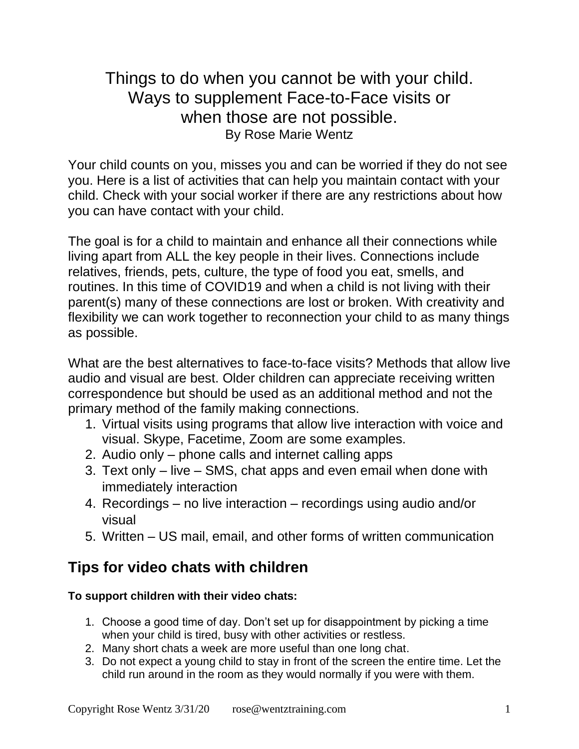Things to do when you cannot be with your child. Ways to supplement Face-to-Face visits or when those are not possible. By Rose Marie Wentz

Your child counts on you, misses you and can be worried if they do not see you. Here is a list of activities that can help you maintain contact with your child. Check with your social worker if there are any restrictions about how you can have contact with your child.

The goal is for a child to maintain and enhance all their connections while living apart from ALL the key people in their lives. Connections include relatives, friends, pets, culture, the type of food you eat, smells, and routines. In this time of COVID19 and when a child is not living with their parent(s) many of these connections are lost or broken. With creativity and flexibility we can work together to reconnection your child to as many things as possible.

What are the best alternatives to face-to-face visits? Methods that allow live audio and visual are best. Older children can appreciate receiving written correspondence but should be used as an additional method and not the primary method of the family making connections.

- 1. Virtual visits using programs that allow live interaction with voice and visual. Skype, Facetime, Zoom are some examples.
- 2. Audio only phone calls and internet calling apps
- 3. Text only live SMS, chat apps and even email when done with immediately interaction
- 4. Recordings no live interaction recordings using audio and/or visual
- 5. Written US mail, email, and other forms of written communication

# **Tips for video chats with children**

# **To support children with their video chats:**

- 1. Choose a good time of day. Don't set up for disappointment by picking a time when your child is tired, busy with other activities or restless.
- 2. Many short chats a week are more useful than one long chat.
- 3. Do not expect a young child to stay in front of the screen the entire time. Let the child run around in the room as they would normally if you were with them.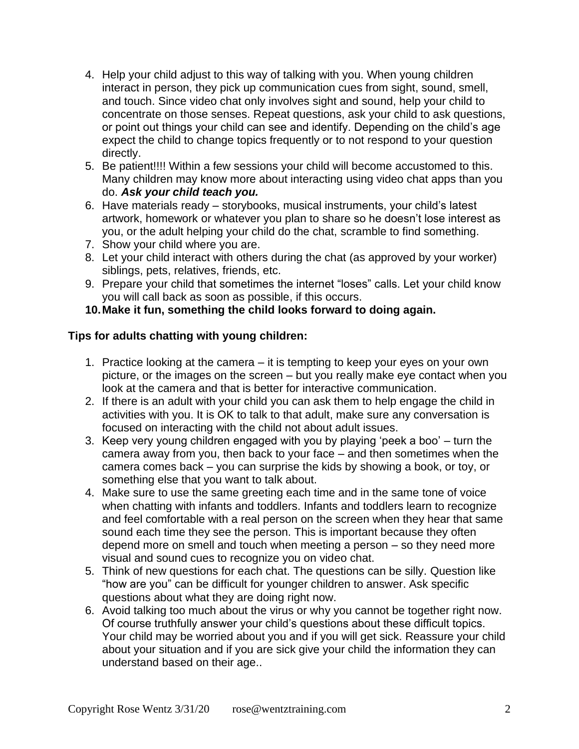- 4. Help your child adjust to this way of talking with you. When young children interact in person, they pick up communication cues from sight, sound, smell, and touch. Since video chat only involves sight and sound, help your child to concentrate on those senses. Repeat questions, ask your child to ask questions, or point out things your child can see and identify. Depending on the child's age expect the child to change topics frequently or to not respond to your question directly.
- 5. Be patient!!!! Within a few sessions your child will become accustomed to this. Many children may know more about interacting using video chat apps than you do. *Ask your child teach you.*
- 6. Have materials ready storybooks, musical instruments, your child's latest artwork, homework or whatever you plan to share so he doesn't lose interest as you, or the adult helping your child do the chat, scramble to find something.
- 7. Show your child where you are.
- 8. Let your child interact with others during the chat (as approved by your worker) siblings, pets, relatives, friends, etc.
- 9. Prepare your child that sometimes the internet "loses" calls. Let your child know you will call back as soon as possible, if this occurs.

## **10.Make it fun, something the child looks forward to doing again.**

#### **Tips for adults chatting with young children:**

- 1. Practice looking at the camera it is tempting to keep your eyes on your own picture, or the images on the screen – but you really make eye contact when you look at the camera and that is better for interactive communication.
- 2. If there is an adult with your child you can ask them to help engage the child in activities with you. It is OK to talk to that adult, make sure any conversation is focused on interacting with the child not about adult issues.
- 3. Keep very young children engaged with you by playing 'peek a boo' turn the camera away from you, then back to your face – and then sometimes when the camera comes back – you can surprise the kids by showing a book, or toy, or something else that you want to talk about.
- 4. Make sure to use the same greeting each time and in the same tone of voice when chatting with infants and toddlers. Infants and toddlers learn to recognize and feel comfortable with a real person on the screen when they hear that same sound each time they see the person. This is important because they often depend more on smell and touch when meeting a person – so they need more visual and sound cues to recognize you on video chat.
- 5. Think of new questions for each chat. The questions can be silly. Question like "how are you" can be difficult for younger children to answer. Ask specific questions about what they are doing right now.
- 6. Avoid talking too much about the virus or why you cannot be together right now. Of course truthfully answer your child's questions about these difficult topics. Your child may be worried about you and if you will get sick. Reassure your child about your situation and if you are sick give your child the information they can understand based on their age..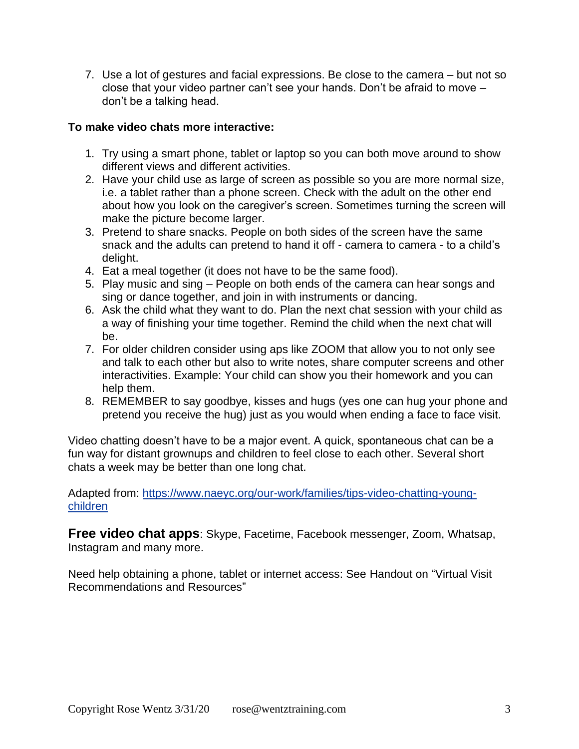7. Use a lot of gestures and facial expressions. Be close to the camera – but not so close that your video partner can't see your hands. Don't be afraid to move – don't be a talking head.

#### **To make video chats more interactive:**

- 1. Try using a smart phone, tablet or laptop so you can both move around to show different views and different activities.
- 2. Have your child use as large of screen as possible so you are more normal size, i.e. a tablet rather than a phone screen. Check with the adult on the other end about how you look on the caregiver's screen. Sometimes turning the screen will make the picture become larger.
- 3. Pretend to share snacks. People on both sides of the screen have the same snack and the adults can pretend to hand it off - camera to camera - to a child's delight.
- 4. Eat a meal together (it does not have to be the same food).
- 5. Play music and sing People on both ends of the camera can hear songs and sing or dance together, and join in with instruments or dancing.
- 6. Ask the child what they want to do. Plan the next chat session with your child as a way of finishing your time together. Remind the child when the next chat will be.
- 7. For older children consider using aps like ZOOM that allow you to not only see and talk to each other but also to write notes, share computer screens and other interactivities. Example: Your child can show you their homework and you can help them.
- 8. REMEMBER to say goodbye, kisses and hugs (yes one can hug your phone and pretend you receive the hug) just as you would when ending a face to face visit.

Video chatting doesn't have to be a major event. A quick, spontaneous chat can be a fun way for distant grownups and children to feel close to each other. Several short chats a week may be better than one long chat.

Adapted from: [https://www.naeyc.org/our-work/families/tips-video-chatting-young](https://www.naeyc.org/our-work/families/tips-video-chatting-young-children)[children](https://www.naeyc.org/our-work/families/tips-video-chatting-young-children)

**Free video chat apps**: Skype, Facetime, Facebook messenger, Zoom, Whatsap, Instagram and many more.

Need help obtaining a phone, tablet or internet access: See Handout on "Virtual Visit Recommendations and Resources"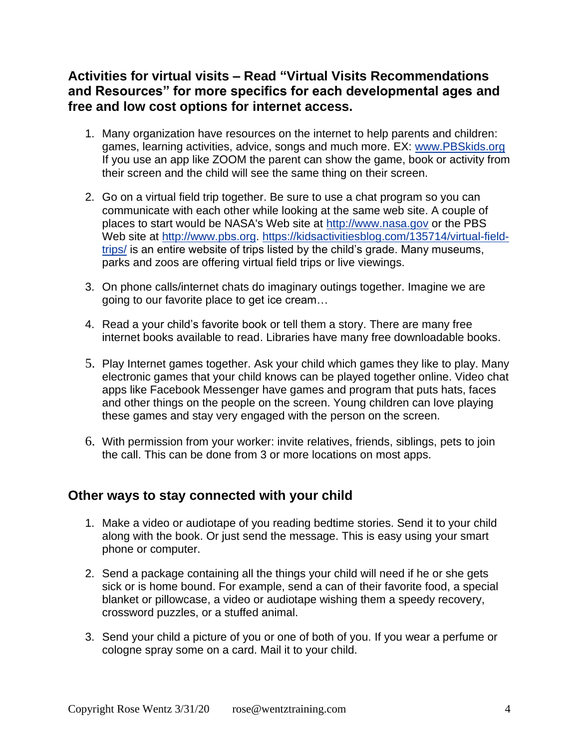## **Activities for virtual visits – Read "Virtual Visits Recommendations and Resources" for more specifics for each developmental ages and free and low cost options for internet access.**

- 1. Many organization have resources on the internet to help parents and children: games, learning activities, advice, songs and much more. EX: [www.PBSkids.org](http://www.pbskids.org/) If you use an app like ZOOM the parent can show the game, book or activity from their screen and the child will see the same thing on their screen.
- 2. Go on a virtual field trip together. Be sure to use a chat program so you can communicate with each other while looking at the same web site. A couple of places to start would be NASA's Web site at [http://www.nasa.gov](http://www.nasa.gov/) or the PBS Web site at [http://www.pbs.org.](http://www.pbs.org/) [https://kidsactivitiesblog.com/135714/virtual-field](https://kidsactivitiesblog.com/135714/virtual-field-trips/)[trips/](https://kidsactivitiesblog.com/135714/virtual-field-trips/) is an entire website of trips listed by the child's grade. Many museums, parks and zoos are offering virtual field trips or live viewings.
- 3. On phone calls/internet chats do imaginary outings together. Imagine we are going to our favorite place to get ice cream…
- 4. Read a your child's favorite book or tell them a story. There are many free internet books available to read. Libraries have many free downloadable books.
- 5. Play Internet games together. Ask your child which games they like to play. Many electronic games that your child knows can be played together online. Video chat apps like Facebook Messenger have games and program that puts hats, faces and other things on the people on the screen. Young children can love playing these games and stay very engaged with the person on the screen.
- 6. With permission from your worker: invite relatives, friends, siblings, pets to join the call. This can be done from 3 or more locations on most apps.

### **Other ways to stay connected with your child**

- 1. Make a video or audiotape of you reading bedtime stories. Send it to your child along with the book. Or just send the message. This is easy using your smart phone or computer.
- 2. Send a package containing all the things your child will need if he or she gets sick or is home bound. For example, send a can of their favorite food, a special blanket or pillowcase, a video or audiotape wishing them a speedy recovery, crossword puzzles, or a stuffed animal.
- 3. Send your child a picture of you or one of both of you. If you wear a perfume or cologne spray some on a card. Mail it to your child.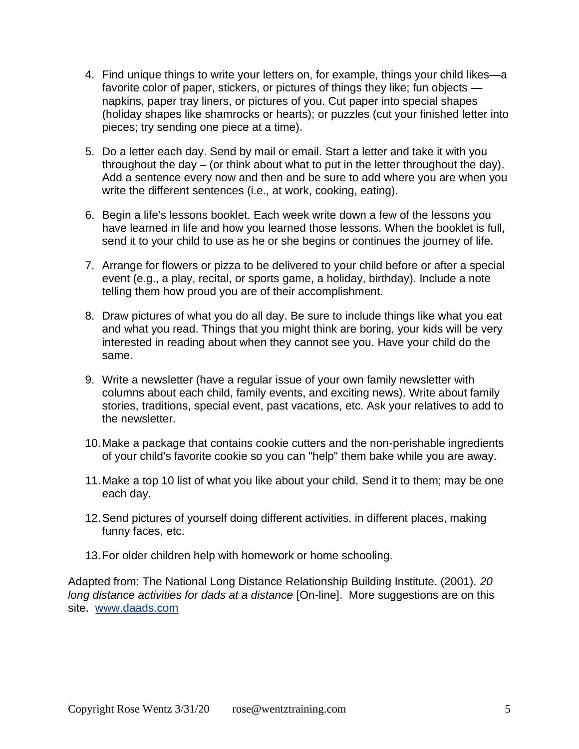- 4. Find unique things to write your letters on, for example, things your child likes—a favorite color of paper, stickers, or pictures of things they like; fun objects napkins, paper tray liners, or pictures of you. Cut paper into special shapes (holiday shapes like shamrocks or hearts); or puzzles (cut your finished letter into pieces; try sending one piece at a time).
- 5. Do a letter each day. Send by mail or email. Start a letter and take it with you throughout the day – (or think about what to put in the letter throughout the day). Add a sentence every now and then and be sure to add where you are when you write the different sentences (i.e., at work, cooking, eating).
- 6. Begin a life's lessons booklet. Each week write down a few of the lessons you have learned in life and how you learned those lessons. When the booklet is full, send it to your child to use as he or she begins or continues the journey of life.
- 7. Arrange for flowers or pizza to be delivered to your child before or after a special event (e.g., a play, recital, or sports game, a holiday, birthday). Include a note telling them how proud you are of their accomplishment.
- 8. Draw pictures of what you do all day. Be sure to include things like what you eat and what you read. Things that you might think are boring, your kids will be very interested in reading about when they cannot see you. Have your child do the same.
- 9. Write a newsletter (have a regular issue of your own family newsletter with columns about each child, family events, and exciting news). Write about family stories, traditions, special event, past vacations, etc. Ask your relatives to add to the newsletter.
- 10.Make a package that contains cookie cutters and the non-perishable ingredients of your child's favorite cookie so you can "help" them bake while you are away.
- 11.Make a top 10 list of what you like about your child. Send it to them; may be one each day.
- 12.Send pictures of yourself doing different activities, in different places, making funny faces, etc.
- 13.For older children help with homework or home schooling.

Adapted from: The National Long Distance Relationship Building Institute. (2001). *20 long distance activities for dads at a distance* [On-line]. More suggestions are on this site. [www.daads.com](http://www.daads.com/)